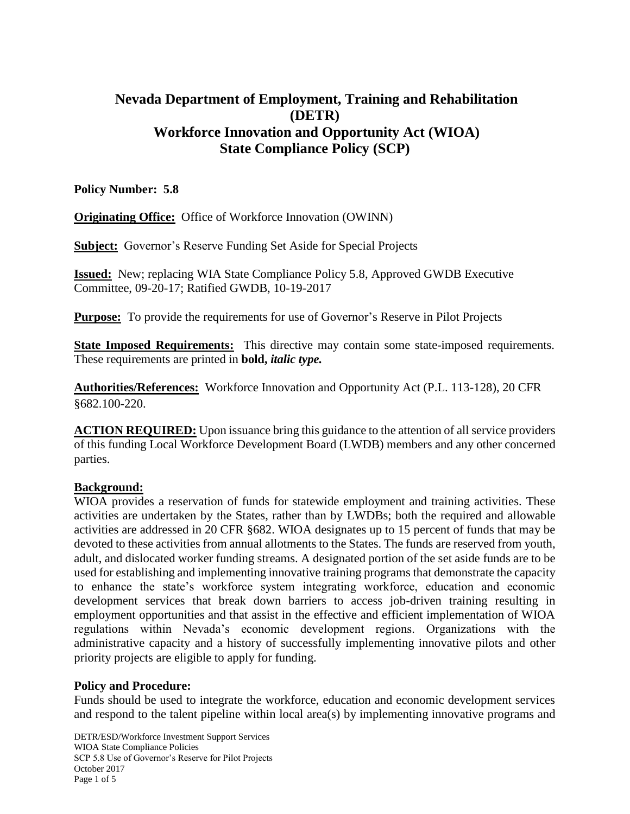# **Nevada Department of Employment, Training and Rehabilitation (DETR) Workforce Innovation and Opportunity Act (WIOA) State Compliance Policy (SCP)**

## **Policy Number: 5.8**

**Originating Office:** Office of Workforce Innovation (OWINN)

**Subject:** Governor's Reserve Funding Set Aside for Special Projects

**Issued:** New; replacing WIA State Compliance Policy 5.8, Approved GWDB Executive Committee, 09-20-17; Ratified GWDB, 10-19-2017

**Purpose:** To provide the requirements for use of Governor's Reserve in Pilot Projects

**State Imposed Requirements:** This directive may contain some state-imposed requirements. These requirements are printed in **bold,** *italic type.*

**Authorities/References:** Workforce Innovation and Opportunity Act (P.L. 113-128), 20 CFR §682.100-220.

**ACTION REQUIRED:** Upon issuance bring this guidance to the attention of all service providers of this funding Local Workforce Development Board (LWDB) members and any other concerned parties.

#### **Background:**

WIOA provides a reservation of funds for statewide employment and training activities. These activities are undertaken by the States, rather than by LWDBs; both the required and allowable activities are addressed in 20 CFR §682. WIOA designates up to 15 percent of funds that may be devoted to these activities from annual allotments to the States. The funds are reserved from youth, adult, and dislocated worker funding streams. A designated portion of the set aside funds are to be used for establishing and implementing innovative training programs that demonstrate the capacity to enhance the state's workforce system integrating workforce, education and economic development services that break down barriers to access job-driven training resulting in employment opportunities and that assist in the effective and efficient implementation of WIOA regulations within Nevada's economic development regions. Organizations with the administrative capacity and a history of successfully implementing innovative pilots and other priority projects are eligible to apply for funding.

#### **Policy and Procedure:**

Funds should be used to integrate the workforce, education and economic development services and respond to the talent pipeline within local area(s) by implementing innovative programs and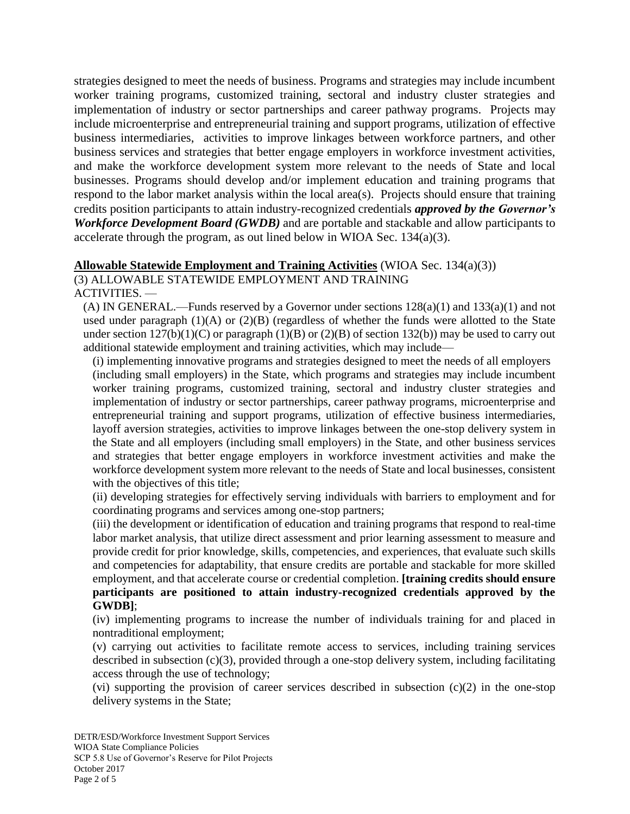strategies designed to meet the needs of business. Programs and strategies may include incumbent worker training programs, customized training, sectoral and industry cluster strategies and implementation of industry or sector partnerships and career pathway programs. Projects may include microenterprise and entrepreneurial training and support programs, utilization of effective business intermediaries, activities to improve linkages between workforce partners, and other business services and strategies that better engage employers in workforce investment activities, and make the workforce development system more relevant to the needs of State and local businesses. Programs should develop and/or implement education and training programs that respond to the labor market analysis within the local area(s). Projects should ensure that training credits position participants to attain industry-recognized credentials *approved by the Governor's Workforce Development Board (GWDB)* and are portable and stackable and allow participants to accelerate through the program, as out lined below in WIOA Sec.  $134(a)(3)$ .

## **Allowable Statewide Employment and Training Activities** (WIOA Sec. 134(a)(3))

(3) ALLOWABLE STATEWIDE EMPLOYMENT AND TRAINING

ACTIVITIES. —

(A) IN GENERAL.—Funds reserved by a Governor under sections  $128(a)(1)$  and  $133(a)(1)$  and not used under paragraph  $(1)(A)$  or  $(2)(B)$  (regardless of whether the funds were allotted to the State under section  $127(b)(1)(C)$  or paragraph  $(1)(B)$  or  $(2)(B)$  of section  $132(b)$ ) may be used to carry out additional statewide employment and training activities, which may include—

(i) implementing innovative programs and strategies designed to meet the needs of all employers (including small employers) in the State, which programs and strategies may include incumbent worker training programs, customized training, sectoral and industry cluster strategies and implementation of industry or sector partnerships, career pathway programs, microenterprise and entrepreneurial training and support programs, utilization of effective business intermediaries, layoff aversion strategies, activities to improve linkages between the one-stop delivery system in the State and all employers (including small employers) in the State, and other business services and strategies that better engage employers in workforce investment activities and make the workforce development system more relevant to the needs of State and local businesses, consistent with the objectives of this title;

(ii) developing strategies for effectively serving individuals with barriers to employment and for coordinating programs and services among one-stop partners;

(iii) the development or identification of education and training programs that respond to real-time labor market analysis, that utilize direct assessment and prior learning assessment to measure and provide credit for prior knowledge, skills, competencies, and experiences, that evaluate such skills and competencies for adaptability, that ensure credits are portable and stackable for more skilled employment, and that accelerate course or credential completion. **[training credits should ensure participants are positioned to attain industry-recognized credentials approved by the GWDB]**;

(iv) implementing programs to increase the number of individuals training for and placed in nontraditional employment;

(v) carrying out activities to facilitate remote access to services, including training services described in subsection (c)(3), provided through a one-stop delivery system, including facilitating access through the use of technology;

(vi) supporting the provision of career services described in subsection  $(c)(2)$  in the one-stop delivery systems in the State;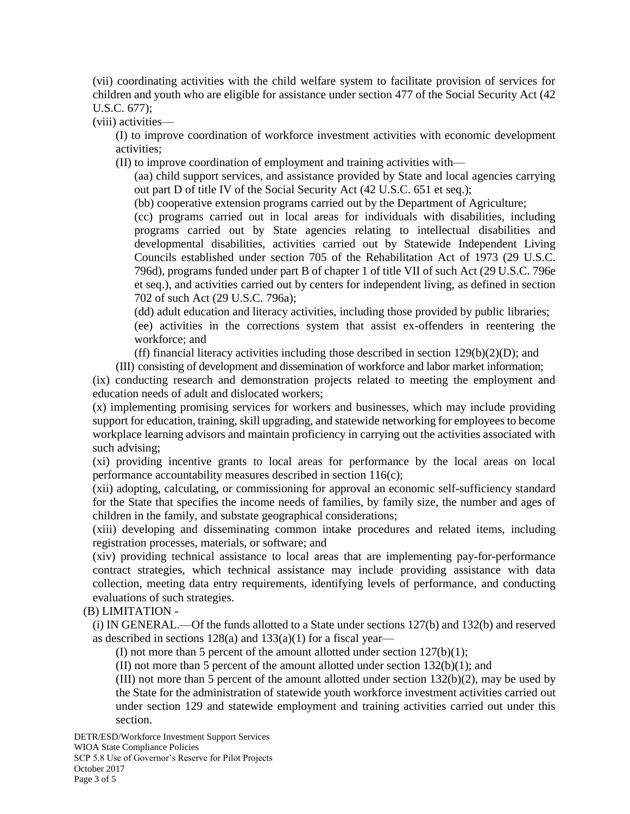(vii) coordinating activities with the child welfare system to facilitate provision of services for children and youth who are eligible for assistance under section 477 of the Social Security Act (42 U.S.C. 677);

(viii) activities—

(I) to improve coordination of workforce investment activities with economic development activities;

(II) to improve coordination of employment and training activities with—

(aa) child support services, and assistance provided by State and local agencies carrying out part D of title IV of the Social Security Act (42 U.S.C. 651 et seq.);

(bb) cooperative extension programs carried out by the Department of Agriculture;

(cc) programs carried out in local areas for individuals with disabilities, including programs carried out by State agencies relating to intellectual disabilities and developmental disabilities, activities carried out by Statewide Independent Living Councils established under section 705 of the Rehabilitation Act of 1973 (29 U.S.C. 796d), programs funded under part B of chapter 1 of title VII of such Act (29 U.S.C. 796e et seq.), and activities carried out by centers for independent living, as defined in section 702 of such Act (29 U.S.C. 796a);

(dd) adult education and literacy activities, including those provided by public libraries;

(ee) activities in the corrections system that assist ex-offenders in reentering the workforce; and

(ff) financial literacy activities including those described in section  $129(b)(2)(D)$ ; and

(III) consisting of development and dissemination of workforce and labor market information;

(ix) conducting research and demonstration projects related to meeting the employment and education needs of adult and dislocated workers;

(x) implementing promising services for workers and businesses, which may include providing support for education, training, skill upgrading, and statewide networking for employees to become workplace learning advisors and maintain proficiency in carrying out the activities associated with such advising;

(xi) providing incentive grants to local areas for performance by the local areas on local performance accountability measures described in section 116(c);

(xii) adopting, calculating, or commissioning for approval an economic self-sufficiency standard for the State that specifies the income needs of families, by family size, the number and ages of children in the family, and substate geographical considerations;

(xiii) developing and disseminating common intake procedures and related items, including registration processes, materials, or software; and

(xiv) providing technical assistance to local areas that are implementing pay-for-performance contract strategies, which technical assistance may include providing assistance with data collection, meeting data entry requirements, identifying levels of performance, and conducting evaluations of such strategies.

(B) LIMITATION -

(i) IN GENERAL.—Of the funds allotted to a State under sections 127(b) and 132(b) and reserved as described in sections 128(a) and 133(a)(1) for a fiscal year—

(I) not more than 5 percent of the amount allotted under section  $127(b)(1)$ ;

(II) not more than 5 percent of the amount allotted under section  $132(b)(1)$ ; and

(III) not more than 5 percent of the amount allotted under section  $132(b)(2)$ , may be used by the State for the administration of statewide youth workforce investment activities carried out under section 129 and statewide employment and training activities carried out under this section.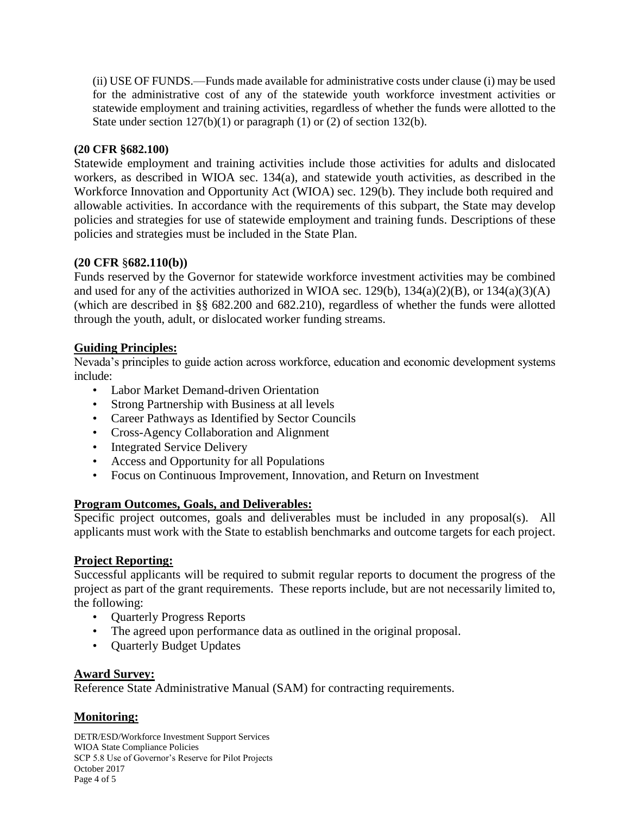(ii) USE OF FUNDS.—Funds made available for administrative costs under clause (i) may be used for the administrative cost of any of the statewide youth workforce investment activities or statewide employment and training activities, regardless of whether the funds were allotted to the State under section  $127(b)(1)$  or paragraph (1) or (2) of section 132(b).

## **(20 CFR §682.100)**

Statewide employment and training activities include those activities for adults and dislocated workers, as described in WIOA sec. 134(a), and statewide youth activities, as described in the Workforce Innovation and Opportunity Act (WIOA) sec. 129(b). They include both required and allowable activities. In accordance with the requirements of this subpart, the State may develop policies and strategies for use of statewide employment and training funds. Descriptions of these policies and strategies must be included in the State Plan.

### **(20 CFR** §**682.110(b))**

Funds reserved by the Governor for statewide workforce investment activities may be combined and used for any of the activities authorized in WIOA sec.  $129(b)$ ,  $134(a)(2)(B)$ , or  $134(a)(3)(A)$ (which are described in §§ 682.200 and 682.210), regardless of whether the funds were allotted through the youth, adult, or dislocated worker funding streams.

### **Guiding Principles:**

Nevada's principles to guide action across workforce, education and economic development systems include:

- Labor Market Demand-driven Orientation
- Strong Partnership with Business at all levels
- Career Pathways as Identified by Sector Councils
- Cross-Agency Collaboration and Alignment
- Integrated Service Delivery
- Access and Opportunity for all Populations
- Focus on Continuous Improvement, Innovation, and Return on Investment

#### **Program Outcomes, Goals, and Deliverables:**

Specific project outcomes, goals and deliverables must be included in any proposal(s). All applicants must work with the State to establish benchmarks and outcome targets for each project.

#### **Project Reporting:**

Successful applicants will be required to submit regular reports to document the progress of the project as part of the grant requirements. These reports include, but are not necessarily limited to, the following:

- Quarterly Progress Reports
- The agreed upon performance data as outlined in the original proposal.
- Quarterly Budget Updates

## **Award Survey:**

Reference State Administrative Manual (SAM) for contracting requirements.

## **Monitoring:**

DETR/ESD/Workforce Investment Support Services WIOA State Compliance Policies SCP 5.8 Use of Governor's Reserve for Pilot Projects October 2017 Page 4 of 5